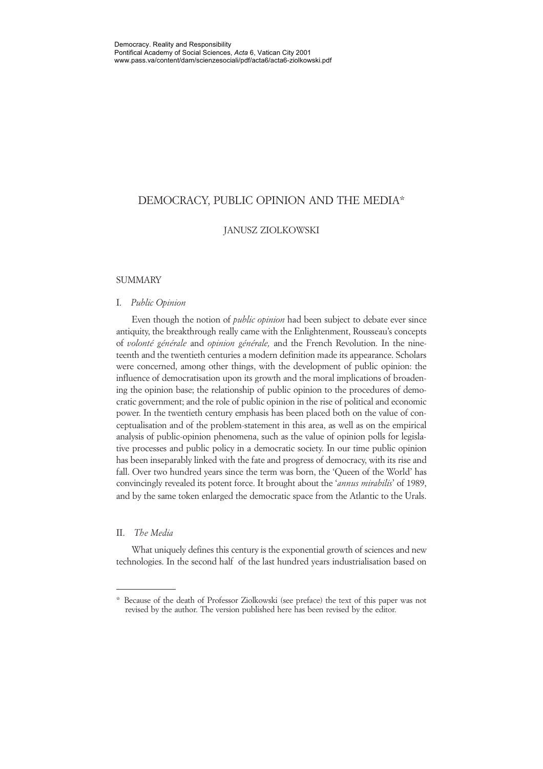# DEMOCRACY, PUBLIC OPINION AND THE MEDIA\*

## JANUSZ ZIOLKOWSKI

## **SUMMARY**

#### I. *Public Opinion*

Even though the notion of *public opinion* had been subject to debate ever since antiquity, the breakthrough really came with the Enlightenment, Rousseau's concepts of *volonté générale* and *opinion générale,* and the French Revolution. In the nineteenth and the twentieth centuries a modern definition made its appearance. Scholars were concerned, among other things, with the development of public opinion: the influence of democratisation upon its growth and the moral implications of broadening the opinion base; the relationship of public opinion to the procedures of democratic government; and the role of public opinion in the rise of political and economic power. In the twentieth century emphasis has been placed both on the value of conceptualisation and of the problem-statement in this area, as well as on the empirical analysis of public-opinion phenomena, such as the value of opinion polls for legislative processes and public policy in a democratic society. In our time public opinion has been inseparably linked with the fate and progress of democracy, with its rise and fall. Over two hundred years since the term was born, the 'Queen of the World' has convincingly revealed its potent force. It brought about the '*annus mirabilis*' of 1989, and by the same token enlarged the democratic space from the Atlantic to the Urals.

## II. *The Media*

What uniquely defines this century is the exponential growth of sciences and new technologies. In the second half of the last hundred years industrialisation based on

<sup>\*</sup> Because of the death of Professor Ziolkowski (see preface) the text of this paper was not revised by the author. The version published here has been revised by the editor.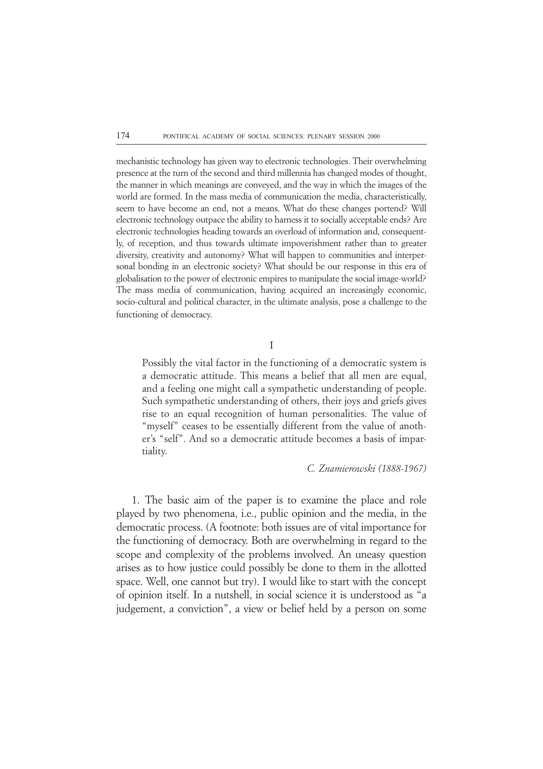mechanistic technology has given way to electronic technologies. Their overwhelming presence at the turn of the second and third millennia has changed modes of thought, the manner in which meanings are conveyed, and the way in which the images of the world are formed. In the mass media of communication the media, characteristically, seem to have become an end, not a means. What do these changes portend? Will electronic technology outpace the ability to harness it to socially acceptable ends? Are electronic technologies heading towards an overload of information and, consequently, of reception, and thus towards ultimate impoverishment rather than to greater diversity, creativity and autonomy? What will happen to communities and interpersonal bonding in an electronic society? What should be our response in this era of globalisation to the power of electronic empires to manipulate the social image-world? The mass media of communication, having acquired an increasingly economic, socio-cultural and political character, in the ultimate analysis, pose a challenge to the functioning of democracy.

I

Possibly the vital factor in the functioning of a democratic system is a democratic attitude. This means a belief that all men are equal, and a feeling one might call a sympathetic understanding of people. Such sympathetic understanding of others, their joys and griefs gives rise to an equal recognition of human personalities. The value of "myself" ceases to be essentially different from the value of another's "self". And so a democratic attitude becomes a basis of impartiality.

*C. Znamierowski (1888-1967)*

1. The basic aim of the paper is to examine the place and role played by two phenomena, i.e., public opinion and the media, in the democratic process. (A footnote: both issues are of vital importance for the functioning of democracy. Both are overwhelming in regard to the scope and complexity of the problems involved. An uneasy question arises as to how justice could possibly be done to them in the allotted space. Well, one cannot but try). I would like to start with the concept of opinion itself. In a nutshell, in social science it is understood as "a judgement, a conviction", a view or belief held by a person on some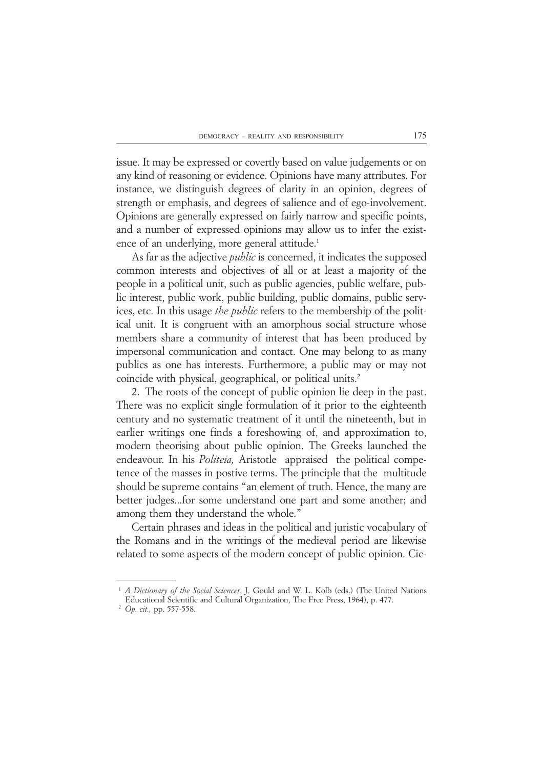issue. It may be expressed or covertly based on value judgements or on any kind of reasoning or evidence. Opinions have many attributes. For instance, we distinguish degrees of clarity in an opinion, degrees of strength or emphasis, and degrees of salience and of ego-involvement. Opinions are generally expressed on fairly narrow and specific points, and a number of expressed opinions may allow us to infer the existence of an underlying, more general attitude.<sup>1</sup>

As far as the adjective *public* is concerned, it indicates the supposed common interests and objectives of all or at least a majority of the people in a political unit, such as public agencies, public welfare, public interest, public work, public building, public domains, public services, etc. In this usage *the public* refers to the membership of the political unit. It is congruent with an amorphous social structure whose members share a community of interest that has been produced by impersonal communication and contact. One may belong to as many publics as one has interests. Furthermore, a public may or may not coincide with physical, geographical, or political units.2

2. The roots of the concept of public opinion lie deep in the past. There was no explicit single formulation of it prior to the eighteenth century and no systematic treatment of it until the nineteenth, but in earlier writings one finds a foreshowing of, and approximation to, modern theorising about public opinion. The Greeks launched the endeavour. In his *Politeia,* Aristotle appraised the political competence of the masses in postive terms. The principle that the multitude should be supreme contains "an element of truth. Hence, the many are better judges...for some understand one part and some another; and among them they understand the whole."

Certain phrases and ideas in the political and juristic vocabulary of the Romans and in the writings of the medieval period are likewise related to some aspects of the modern concept of public opinion. Cic-

<sup>&</sup>lt;sup>1</sup> *A Dictionary of the Social Sciences*, J. Gould and W. L. Kolb (eds.) (The United Nations Educational Scientific and Cultural Organization, The Free Press, 1964), p. 477.

<sup>12</sup> *Op. cit.,* pp. 557-558.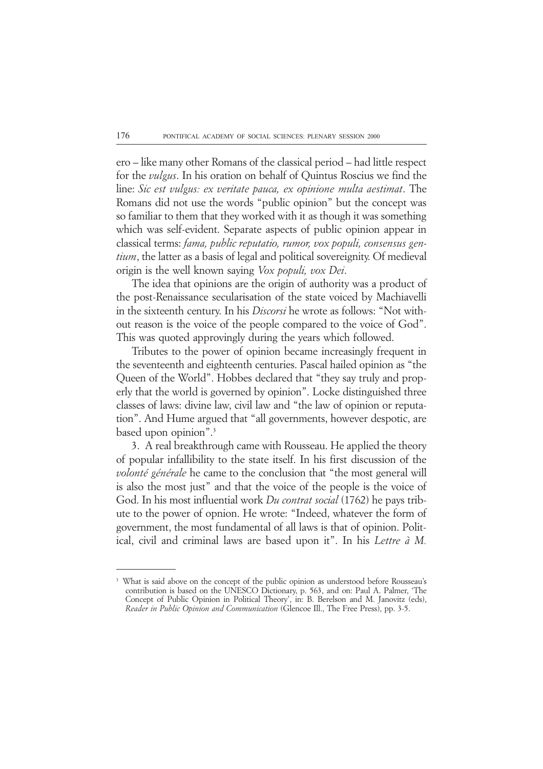ero – like many other Romans of the classical period – had little respect for the *vulgus*. In his oration on behalf of Quintus Roscius we find the line: *Sic est vulgus: ex veritate pauca, ex opinione multa aestimat*. The Romans did not use the words "public opinion" but the concept was so familiar to them that they worked with it as though it was something which was self-evident. Separate aspects of public opinion appear in classical terms: *fama, public reputatio, rumor, vox populi, consensus gentium*, the latter as a basis of legal and political sovereignity. Of medieval origin is the well known saying *Vox populi, vox Dei*.

The idea that opinions are the origin of authority was a product of the post-Renaissance secularisation of the state voiced by Machiavelli in the sixteenth century. In his *Discorsi* he wrote as follows: "Not without reason is the voice of the people compared to the voice of God". This was quoted approvingly during the years which followed.

Tributes to the power of opinion became increasingly frequent in the seventeenth and eighteenth centuries. Pascal hailed opinion as "the Queen of the World". Hobbes declared that "they say truly and properly that the world is governed by opinion". Locke distinguished three classes of laws: divine law, civil law and "the law of opinion or reputation". And Hume argued that "all governments, however despotic, are based upon opinion".3

3. A real breakthrough came with Rousseau. He applied the theory of popular infallibility to the state itself. In his first discussion of the *volonté générale* he came to the conclusion that "the most general will is also the most just" and that the voice of the people is the voice of God. In his most influential work *Du contrat social* (1762) he pays tribute to the power of opnion. He wrote: "Indeed, whatever the form of government, the most fundamental of all laws is that of opinion. Political, civil and criminal laws are based upon it". In his *Lettre à M.*

<sup>3</sup> What is said above on the concept of the public opinion as understood before Rousseau's contribution is based on the UNESCO Dictionary, p. 563, and on: Paul A. Palmer, 'The Concept of Public Opinion in Political Theory', in: B. Berelson and M. Janovitz (eds), *Reader in Public Opinion and Communication* (Glencoe Ill., The Free Press), pp. 3-5.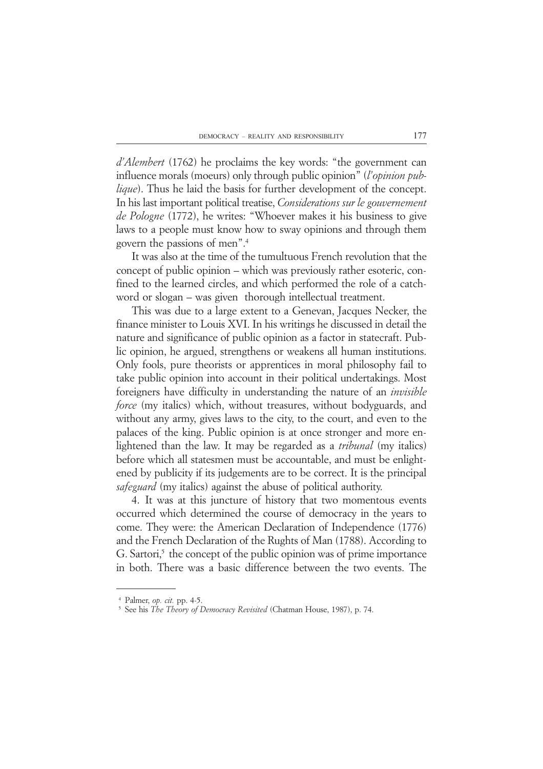*d'Alembert* (1762) he proclaims the key words: "the government can influence morals (moeurs) only through public opinion" (*l'opinion publique*). Thus he laid the basis for further development of the concept. In his last important political treatise, *Considerations sur le gouvernement de Pologne* (1772), he writes: "Whoever makes it his business to give laws to a people must know how to sway opinions and through them govern the passions of men".4

It was also at the time of the tumultuous French revolution that the concept of public opinion – which was previously rather esoteric, confined to the learned circles, and which performed the role of a catchword or slogan – was given thorough intellectual treatment.

This was due to a large extent to a Genevan, Jacques Necker, the finance minister to Louis XVI. In his writings he discussed in detail the nature and significance of public opinion as a factor in statecraft. Public opinion, he argued, strengthens or weakens all human institutions. Only fools, pure theorists or apprentices in moral philosophy fail to take public opinion into account in their political undertakings. Most foreigners have difficulty in understanding the nature of an *invisible force* (my italics) which, without treasures, without bodyguards, and without any army, gives laws to the city, to the court, and even to the palaces of the king. Public opinion is at once stronger and more enlightened than the law. It may be regarded as a *tribunal* (my italics) before which all statesmen must be accountable, and must be enlightened by publicity if its judgements are to be correct. It is the principal *safeguard* (my italics) against the abuse of political authority.

4. It was at this juncture of history that two momentous events occurred which determined the course of democracy in the years to come. They were: the American Declaration of Independence (1776) and the French Declaration of the Rughts of Man (1788). According to  $G.$  Sartori, $5$  the concept of the public opinion was of prime importance in both. There was a basic difference between the two events. The

<sup>14</sup> Palmer, *op. cit.* pp. 4-5.

<sup>&</sup>lt;sup>5</sup> See his *The Theory of Democracy Revisited* (Chatman House, 1987), p. 74.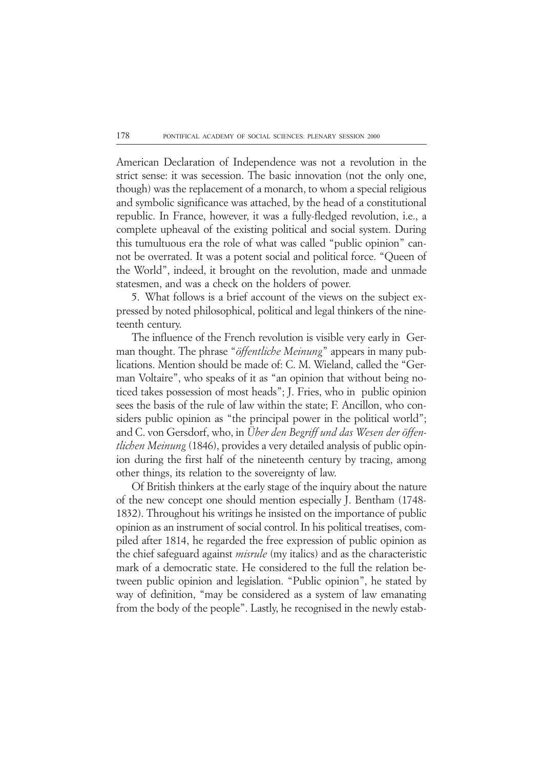American Declaration of Independence was not a revolution in the strict sense: it was secession. The basic innovation (not the only one, though) was the replacement of a monarch, to whom a special religious and symbolic significance was attached, by the head of a constitutional republic. In France, however, it was a fully-fledged revolution, i.e., a complete upheaval of the existing political and social system. During this tumultuous era the role of what was called "public opinion" cannot be overrated. It was a potent social and political force. "Queen of the World", indeed, it brought on the revolution, made and unmade statesmen, and was a check on the holders of power.

5. What follows is a brief account of the views on the subject expressed by noted philosophical, political and legal thinkers of the nineteenth century.

The influence of the French revolution is visible very early in German thought. The phrase "*öffentliche Meinung*" appears in many publications. Mention should be made of: C. M. Wieland, called the "German Voltaire", who speaks of it as "an opinion that without being noticed takes possession of most heads"; J. Fries, who in public opinion sees the basis of the rule of law within the state; F. Ancillon, who considers public opinion as "the principal power in the political world"; and C. von Gersdorf, who, in *Über den Begriff und das Wesen der öffentlichen Meinung* (1846), provides a very detailed analysis of public opinion during the first half of the nineteenth century by tracing, among other things, its relation to the sovereignty of law.

Of British thinkers at the early stage of the inquiry about the nature of the new concept one should mention especially J. Bentham (1748- 1832). Throughout his writings he insisted on the importance of public opinion as an instrument of social control. In his political treatises, compiled after 1814, he regarded the free expression of public opinion as the chief safeguard against *misrule* (my italics) and as the characteristic mark of a democratic state. He considered to the full the relation between public opinion and legislation. "Public opinion", he stated by way of definition, "may be considered as a system of law emanating from the body of the people". Lastly, he recognised in the newly estab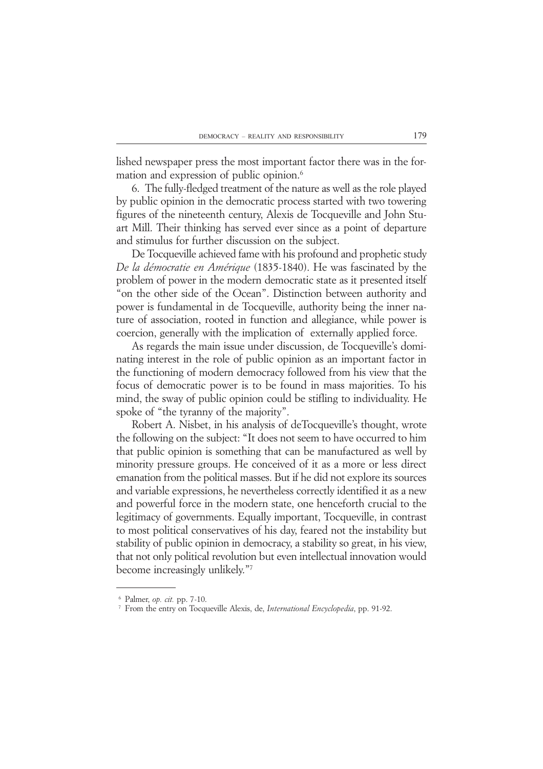lished newspaper press the most important factor there was in the formation and expression of public opinion.<sup>6</sup>

6. The fully-fledged treatment of the nature as well as the role played by public opinion in the democratic process started with two towering figures of the nineteenth century, Alexis de Tocqueville and John Stuart Mill. Their thinking has served ever since as a point of departure and stimulus for further discussion on the subject.

De Tocqueville achieved fame with his profound and prophetic study *De la démocratie en Amérique* (1835-1840). He was fascinated by the problem of power in the modern democratic state as it presented itself "on the other side of the Ocean". Distinction between authority and power is fundamental in de Tocqueville, authority being the inner nature of association, rooted in function and allegiance, while power is coercion, generally with the implication of externally applied force.

As regards the main issue under discussion, de Tocqueville's dominating interest in the role of public opinion as an important factor in the functioning of modern democracy followed from his view that the focus of democratic power is to be found in mass majorities. To his mind, the sway of public opinion could be stifling to individuality. He spoke of "the tyranny of the majority".

Robert A. Nisbet, in his analysis of deTocqueville's thought, wrote the following on the subject: "It does not seem to have occurred to him that public opinion is something that can be manufactured as well by minority pressure groups. He conceived of it as a more or less direct emanation from the political masses. But if he did not explore its sources and variable expressions, he nevertheless correctly identified it as a new and powerful force in the modern state, one henceforth crucial to the legitimacy of governments. Equally important, Tocqueville, in contrast to most political conservatives of his day, feared not the instability but stability of public opinion in democracy, a stability so great, in his view, that not only political revolution but even intellectual innovation would become increasingly unlikely."7

<sup>16</sup> Palmer, *op. cit.* pp. 7-10.

<sup>17</sup> From the entry on Tocqueville Alexis, de, *International Encyclopedia*, pp. 91-92.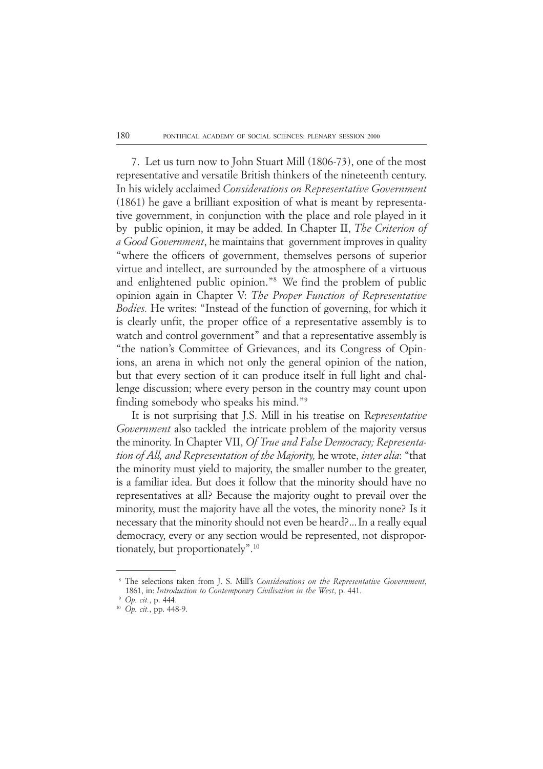7. Let us turn now to John Stuart Mill (1806-73), one of the most representative and versatile British thinkers of the nineteenth century. In his widely acclaimed *Considerations on Representative Government* (1861) he gave a brilliant exposition of what is meant by representative government, in conjunction with the place and role played in it by public opinion, it may be added. In Chapter II, *The Criterion of a Good Government*, he maintains that government improves in quality "where the officers of government, themselves persons of superior virtue and intellect, are surrounded by the atmosphere of a virtuous and enlightened public opinion."8 We find the problem of public opinion again in Chapter V: *The Proper Function of Representative Bodies.* He writes: "Instead of the function of governing, for which it is clearly unfit, the proper office of a representative assembly is to watch and control government" and that a representative assembly is "the nation's Committee of Grievances, and its Congress of Opinions, an arena in which not only the general opinion of the nation, but that every section of it can produce itself in full light and challenge discussion; where every person in the country may count upon finding somebody who speaks his mind."9

It is not surprising that J.S. Mill in his treatise on R*epresentative Government* also tackled the intricate problem of the majority versus the minority. In Chapter VII, *Of True and False Democracy; Representation of All, and Representation of the Majority,* he wrote, *inter alia*: "that the minority must yield to majority, the smaller number to the greater, is a familiar idea. But does it follow that the minority should have no representatives at all? Because the majority ought to prevail over the minority, must the majority have all the votes, the minority none? Is it necessary that the minority should not even be heard?...In a really equal democracy, every or any section would be represented, not disproportionately, but proportionately".10

<sup>18</sup> The selections taken from J. S. Mill's *Considerations on the Representative Government*, 1861, in: *Introduction to Contemporary Civilisation in the West*, p. 441.

<sup>19</sup> *Op. cit.*, p. 444.

<sup>10</sup> *Op. cit.*, pp. 448-9.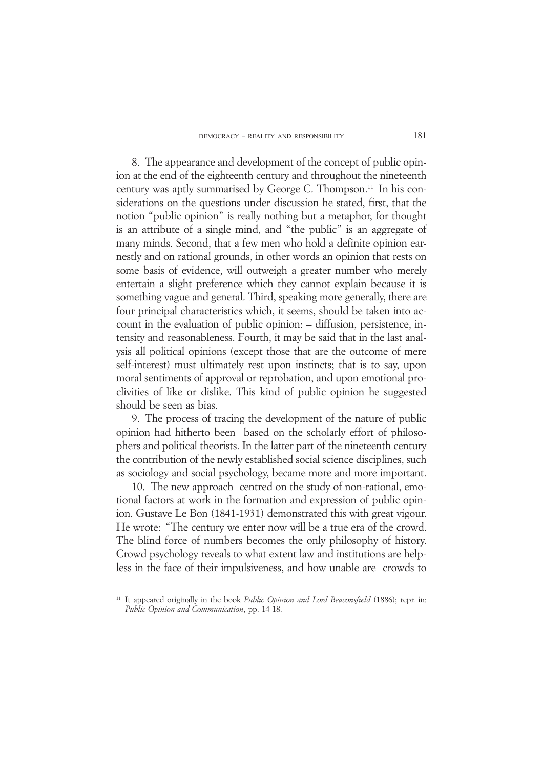8. The appearance and development of the concept of public opinion at the end of the eighteenth century and throughout the nineteenth century was aptly summarised by George C. Thompson.11 In his considerations on the questions under discussion he stated, first, that the notion "public opinion" is really nothing but a metaphor, for thought is an attribute of a single mind, and "the public" is an aggregate of many minds. Second, that a few men who hold a definite opinion earnestly and on rational grounds, in other words an opinion that rests on some basis of evidence, will outweigh a greater number who merely entertain a slight preference which they cannot explain because it is something vague and general. Third, speaking more generally, there are four principal characteristics which, it seems, should be taken into account in the evaluation of public opinion: – diffusion, persistence, intensity and reasonableness. Fourth, it may be said that in the last analysis all political opinions (except those that are the outcome of mere self-interest) must ultimately rest upon instincts; that is to say, upon moral sentiments of approval or reprobation, and upon emotional proclivities of like or dislike. This kind of public opinion he suggested should be seen as bias.

9. The process of tracing the development of the nature of public opinion had hitherto been based on the scholarly effort of philosophers and political theorists. In the latter part of the nineteenth century the contribution of the newly established social science disciplines, such as sociology and social psychology, became more and more important.

10. The new approach centred on the study of non-rational, emotional factors at work in the formation and expression of public opinion. Gustave Le Bon (1841-1931) demonstrated this with great vigour. He wrote: "The century we enter now will be a true era of the crowd. The blind force of numbers becomes the only philosophy of history. Crowd psychology reveals to what extent law and institutions are helpless in the face of their impulsiveness, and how unable are crowds to

<sup>&</sup>lt;sup>11</sup> It appeared originally in the book *Public Opinion and Lord Beaconsfield* (1886); repr. in: *Public Opinion and Communication*, pp. 14-18.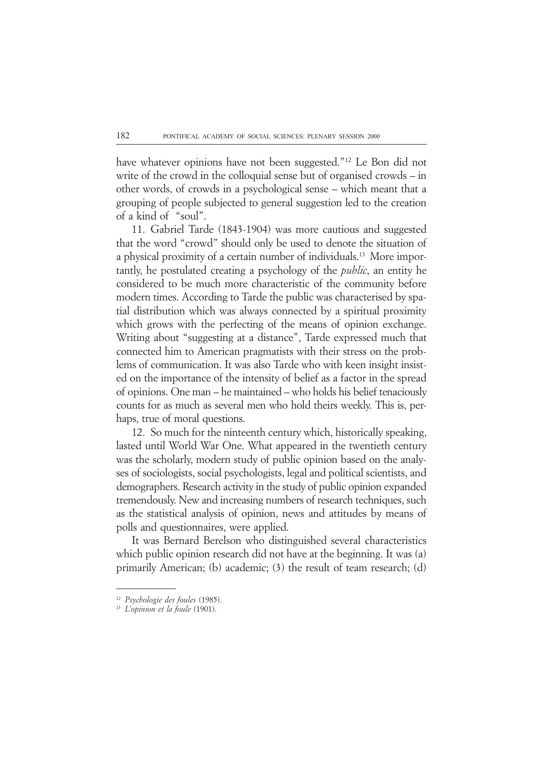have whatever opinions have not been suggested."12 Le Bon did not write of the crowd in the colloquial sense but of organised crowds – in other words, of crowds in a psychological sense – which meant that a grouping of people subjected to general suggestion led to the creation of a kind of "soul".

11. Gabriel Tarde (1843-1904) was more cautious and suggested that the word "crowd" should only be used to denote the situation of a physical proximity of a certain number of individuals.13 More importantly, he postulated creating a psychology of the *public*, an entity he considered to be much more characteristic of the community before modern times. According to Tarde the public was characterised by spatial distribution which was always connected by a spiritual proximity which grows with the perfecting of the means of opinion exchange. Writing about "suggesting at a distance", Tarde expressed much that connected him to American pragmatists with their stress on the problems of communication. It was also Tarde who with keen insight insisted on the importance of the intensity of belief as a factor in the spread of opinions. One man – he maintained – who holds his belief tenaciously counts for as much as several men who hold theirs weekly. This is, perhaps, true of moral questions.

12. So much for the ninteenth century which, historically speaking, lasted until World War One. What appeared in the twentieth century was the scholarly, modern study of public opinion based on the analyses of sociologists, social psychologists, legal and political scientists, and demographers. Research activity in the study of public opinion expanded tremendously. New and increasing numbers of research techniques, such as the statistical analysis of opinion, news and attitudes by means of polls and questionnaires, were applied.

It was Bernard Berelson who distinguished several characteristics which public opinion research did not have at the beginning. It was (a) primarily American; (b) academic; (3) the result of team research; (d)

<sup>12</sup> *Psychologie des foules* (1985).

<sup>13</sup> *L'opinion et la foule* (1901).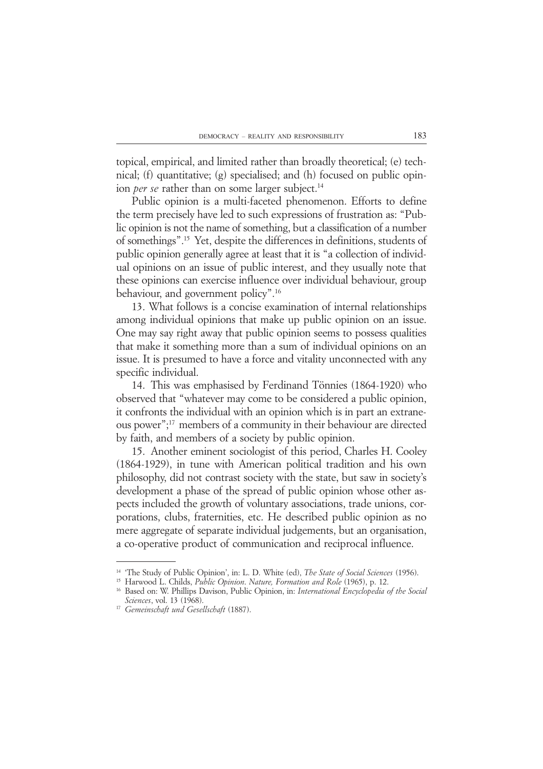topical, empirical, and limited rather than broadly theoretical; (e) technical; (f) quantitative; (g) specialised; and (h) focused on public opinion *per se* rather than on some larger subject.<sup>14</sup>

Public opinion is a multi-faceted phenomenon. Efforts to define the term precisely have led to such expressions of frustration as: "Public opinion is not the name of something, but a classification of a number of somethings".15 Yet, despite the differences in definitions, students of public opinion generally agree at least that it is "a collection of individual opinions on an issue of public interest, and they usually note that these opinions can exercise influence over individual behaviour, group behaviour, and government policy".16

13. What follows is a concise examination of internal relationships among individual opinions that make up public opinion on an issue. One may say right away that public opinion seems to possess qualities that make it something more than a sum of individual opinions on an issue. It is presumed to have a force and vitality unconnected with any specific individual.

14. This was emphasised by Ferdinand Tönnies (1864-1920) who observed that "whatever may come to be considered a public opinion, it confronts the individual with an opinion which is in part an extraneous power";17 members of a community in their behaviour are directed by faith, and members of a society by public opinion.

15. Another eminent sociologist of this period, Charles H. Cooley (1864-1929), in tune with American political tradition and his own philosophy, did not contrast society with the state, but saw in society's development a phase of the spread of public opinion whose other aspects included the growth of voluntary associations, trade unions, corporations, clubs, fraternities, etc. He described public opinion as no mere aggregate of separate individual judgements, but an organisation, a co-operative product of communication and reciprocal influence.

<sup>14 &#</sup>x27;The Study of Public Opinion', in: L. D. White (ed), *The State of Social Sciences* (1956).

<sup>15</sup> Harwood L. Childs, *Public Opinion*. *Nature, Formation and Role* (1965), p. 12.

<sup>16</sup> Based on: W. Phillips Davison, Public Opinion, in: *International Encyclopedia of the Social Sciences*, vol. 13 (1968).

<sup>17</sup> *Gemeinschaft und Gesellschaft* (1887).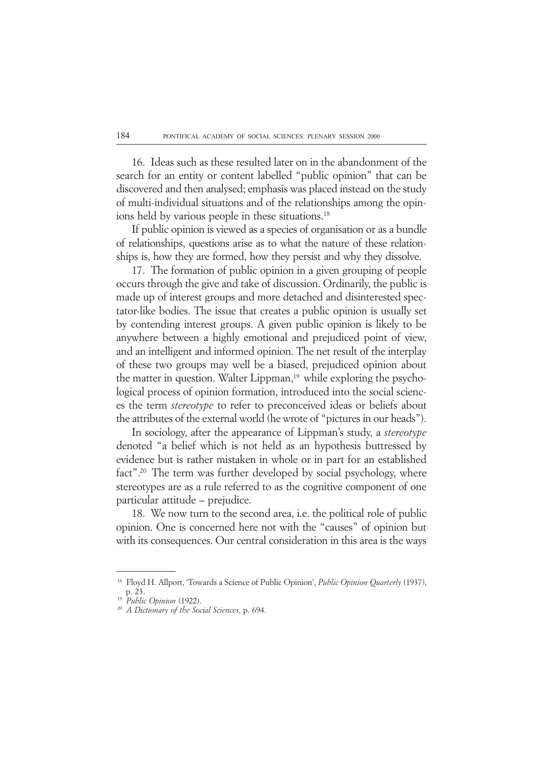16. Ideas such as these resulted later on in the abandonment of the search for an entity or content labelled "public opinion" that can be discovered and then analysed; emphasis was placed instead on the study of multi-individual situations and of the relationships among the opinions held by various people in these situations.<sup>18</sup>

If public opinion is viewed as a species of organisation or as a bundle of relationships, questions arise as to what the nature of these relationships is, how they are formed, how they persist and why they dissolve.

17. The formation of public opinion in a given grouping of people occurs through the give and take of discussion. Ordinarily, the public is made up of interest groups and more detached and disinterested spectator-like bodies. The issue that creates a public opinion is usually set by contending interest groups. A given public opinion is likely to be anywhere between a highly emotional and prejudiced point of view, and an intelligent and informed opinion. The net result of the interplay of these two groups may well be a biased, prejudiced opinion about the matter in question. Walter Lippman,<sup>19</sup> while exploring the psychological process of opinion formation, introduced into the social sciences the term *stereotype* to refer to preconceived ideas or beliefs about the attributes of the external world (he wrote of "pictures in our heads").

In sociology, after the appearance of Lippman's study, a *stereotype* denoted "a belief which is not held as an hypothesis buttressed by evidence but is rather mistaken in whole or in part for an established fact".<sup>20</sup> The term was further developed by social psychology, where stereotypes are as a rule referred to as the cognitive component of one particular attitude – prejudice.

18. We now turn to the second area, i.e. the political role of public opinion. One is concerned here not with the "causes" of opinion but with its consequences. Our central consideration in this area is the ways

<sup>18</sup> Floyd H. Allport, 'Towards a Science of Public Opinion', *Public Opinion Quarterly* (1937), p. 23.

<sup>19</sup> *Public Opinion* (1922).

<sup>20</sup> *A Dictionary of the Social Sciences*, p. 694.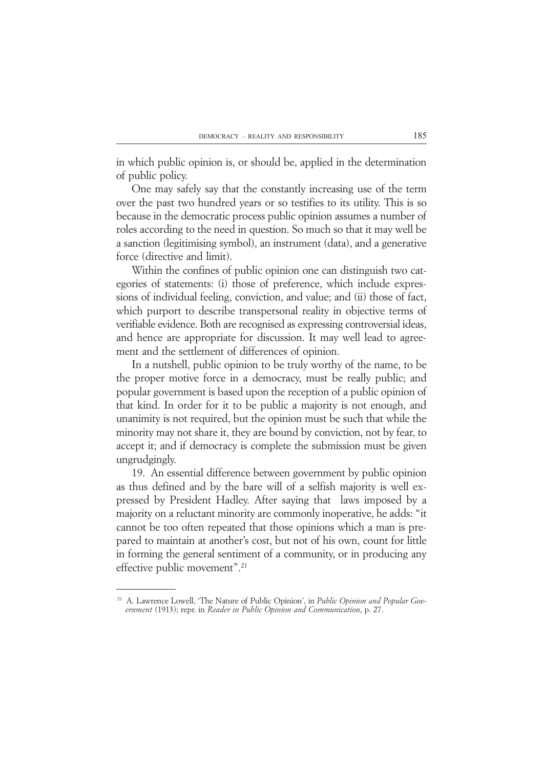in which public opinion is, or should be, applied in the determination of public policy.

One may safely say that the constantly increasing use of the term over the past two hundred years or so testifies to its utility. This is so because in the democratic process public opinion assumes a number of roles according to the need in question. So much so that it may well be a sanction (legitimising symbol), an instrument (data), and a generative force (directive and limit).

Within the confines of public opinion one can distinguish two categories of statements: (i) those of preference, which include expressions of individual feeling, conviction, and value; and (ii) those of fact, which purport to describe transpersonal reality in objective terms of verifiable evidence. Both are recognised as expressing controversial ideas, and hence are appropriate for discussion. It may well lead to agreement and the settlement of differences of opinion.

In a nutshell, public opinion to be truly worthy of the name, to be the proper motive force in a democracy, must be really public; and popular government is based upon the reception of a public opinion of that kind. In order for it to be public a majority is not enough, and unanimity is not required, but the opinion must be such that while the minority may not share it, they are bound by conviction, not by fear, to accept it; and if democracy is complete the submission must be given ungrudgingly.

19. An essential difference between government by public opinion as thus defined and by the bare will of a selfish majority is well expressed by President Hadley. After saying that laws imposed by a majority on a reluctant minority are commonly inoperative, he adds: "it cannot be too often repeated that those opinions which a man is prepared to maintain at another's cost, but not of his own, count for little in forming the general sentiment of a community, or in producing any effective public movement".21

<sup>21</sup> A. Lawrence Lowell, 'The Nature of Public Opinion', in *Public Opinion and Popular Government* (1913); repr. in *Reader in Public Opinion and Communication*, p. 27.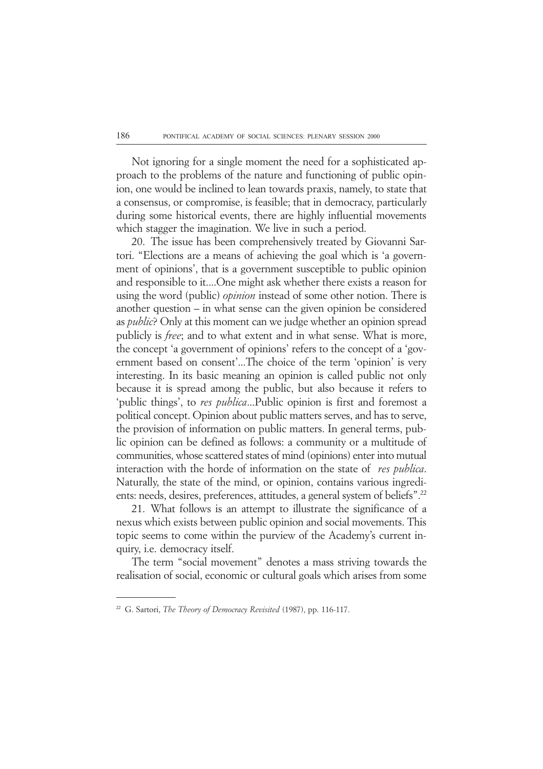Not ignoring for a single moment the need for a sophisticated approach to the problems of the nature and functioning of public opinion, one would be inclined to lean towards praxis, namely, to state that a consensus, or compromise, is feasible; that in democracy, particularly during some historical events, there are highly influential movements which stagger the imagination. We live in such a period.

20. The issue has been comprehensively treated by Giovanni Sartori. "Elections are a means of achieving the goal which is 'a government of opinions', that is a government susceptible to public opinion and responsible to it....One might ask whether there exists a reason for using the word (public) *opinion* instead of some other notion. There is another question – in what sense can the given opinion be considered as *public*? Only at this moment can we judge whether an opinion spread publicly is *free*; and to what extent and in what sense. What is more, the concept 'a government of opinions' refers to the concept of a 'government based on consent'...The choice of the term 'opinion' is very interesting. In its basic meaning an opinion is called public not only because it is spread among the public, but also because it refers to 'public things', to *res publica*...Public opinion is first and foremost a political concept. Opinion about public matters serves, and has to serve, the provision of information on public matters. In general terms, public opinion can be defined as follows: a community or a multitude of communities, whose scattered states of mind (opinions) enter into mutual interaction with the horde of information on the state of *res publica*. Naturally, the state of the mind, or opinion, contains various ingredients: needs, desires, preferences, attitudes, a general system of beliefs".22

21. What follows is an attempt to illustrate the significance of a nexus which exists between public opinion and social movements. This topic seems to come within the purview of the Academy's current inquiry, i.e. democracy itself.

The term "social movement" denotes a mass striving towards the realisation of social, economic or cultural goals which arises from some

<sup>22</sup> G. Sartori, *The Theory of Democracy Revisited* (1987), pp. 116-117.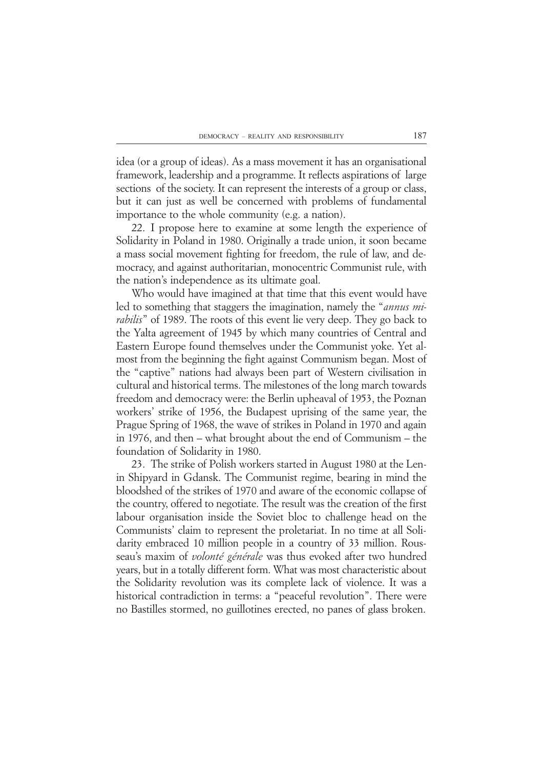idea (or a group of ideas). As a mass movement it has an organisational framework, leadership and a programme. It reflects aspirations of large sections of the society. It can represent the interests of a group or class, but it can just as well be concerned with problems of fundamental importance to the whole community (e.g. a nation).

22. I propose here to examine at some length the experience of Solidarity in Poland in 1980. Originally a trade union, it soon became a mass social movement fighting for freedom, the rule of law, and democracy, and against authoritarian, monocentric Communist rule, with the nation's independence as its ultimate goal.

Who would have imagined at that time that this event would have led to something that staggers the imagination, namely the "*annus mirabilis*" of 1989. The roots of this event lie very deep. They go back to the Yalta agreement of 1945 by which many countries of Central and Eastern Europe found themselves under the Communist yoke. Yet almost from the beginning the fight against Communism began. Most of the "captive" nations had always been part of Western civilisation in cultural and historical terms. The milestones of the long march towards freedom and democracy were: the Berlin upheaval of 1953, the Poznan workers' strike of 1956, the Budapest uprising of the same year, the Prague Spring of 1968, the wave of strikes in Poland in 1970 and again in 1976, and then – what brought about the end of Communism – the foundation of Solidarity in 1980.

23. The strike of Polish workers started in August 1980 at the Lenin Shipyard in Gdansk. The Communist regime, bearing in mind the bloodshed of the strikes of 1970 and aware of the economic collapse of the country, offered to negotiate. The result was the creation of the first labour organisation inside the Soviet bloc to challenge head on the Communists' claim to represent the proletariat. In no time at all Solidarity embraced 10 million people in a country of 33 million. Rousseau's maxim of *volonté générale* was thus evoked after two hundred years, but in a totally different form. What was most characteristic about the Solidarity revolution was its complete lack of violence. It was a historical contradiction in terms: a "peaceful revolution". There were no Bastilles stormed, no guillotines erected, no panes of glass broken.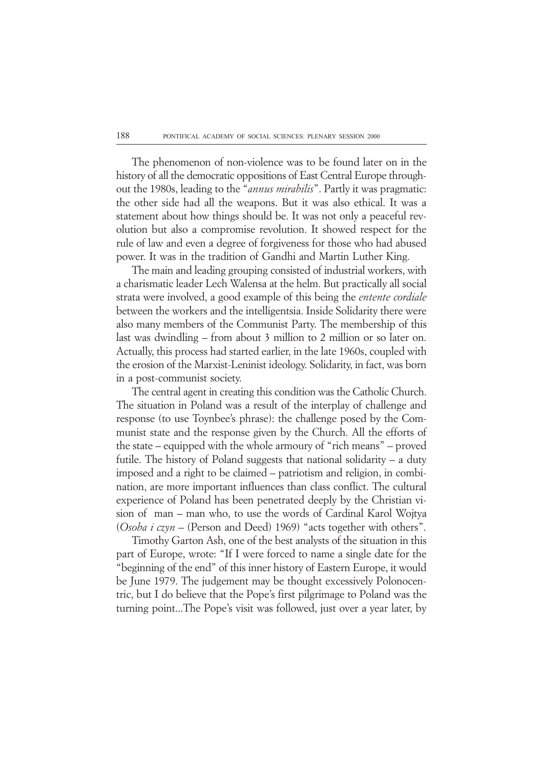The phenomenon of non-violence was to be found later on in the history of all the democratic oppositions of East Central Europe throughout the 1980s, leading to the "*annus mirabilis*". Partly it was pragmatic: the other side had all the weapons. But it was also ethical. It was a statement about how things should be. It was not only a peaceful revolution but also a compromise revolution. It showed respect for the rule of law and even a degree of forgiveness for those who had abused power. It was in the tradition of Gandhi and Martin Luther King.

The main and leading grouping consisted of industrial workers, with a charismatic leader Lech Walensa at the helm. But practically all social strata were involved, a good example of this being the *entente cordiale* between the workers and the intelligentsia. Inside Solidarity there were also many members of the Communist Party. The membership of this last was dwindling – from about 3 million to 2 million or so later on. Actually, this process had started earlier, in the late 1960s, coupled with the erosion of the Marxist-Leninist ideology. Solidarity, in fact, was born in a post-communist society.

The central agent in creating this condition was the Catholic Church. The situation in Poland was a result of the interplay of challenge and response (to use Toynbee's phrase): the challenge posed by the Communist state and the response given by the Church. All the efforts of the state – equipped with the whole armoury of "rich means" – proved futile. The history of Poland suggests that national solidarity – a duty imposed and a right to be claimed – patriotism and religion, in combination, are more important influences than class conflict. The cultural experience of Poland has been penetrated deeply by the Christian vision of man – man who, to use the words of Cardinal Karol Wojtya (*Osoba i czyn* – (Person and Deed) 1969) "acts together with others".

Timothy Garton Ash, one of the best analysts of the situation in this part of Europe, wrote: "If I were forced to name a single date for the "beginning of the end" of this inner history of Eastern Europe, it would be June 1979. The judgement may be thought excessively Polonocentric, but I do believe that the Pope's first pilgrimage to Poland was the turning point...The Pope's visit was followed, just over a year later, by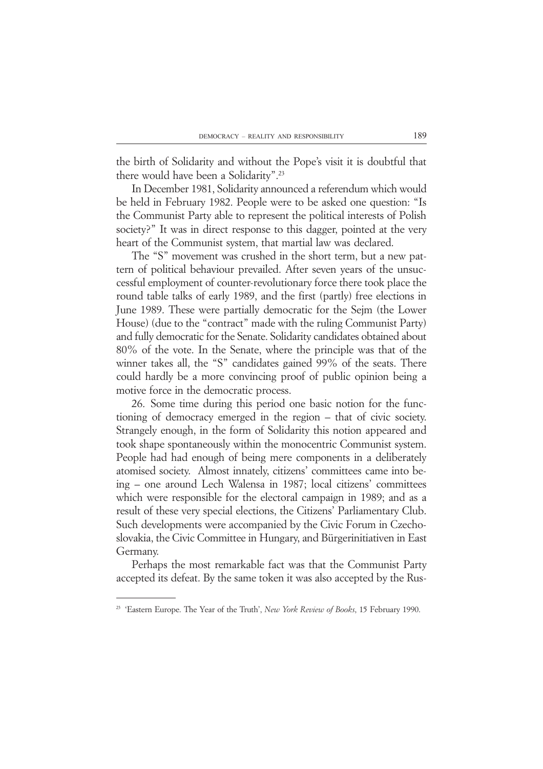the birth of Solidarity and without the Pope's visit it is doubtful that there would have been a Solidarity".23

In December 1981, Solidarity announced a referendum which would be held in February 1982. People were to be asked one question: "Is the Communist Party able to represent the political interests of Polish society?" It was in direct response to this dagger, pointed at the very heart of the Communist system, that martial law was declared.

The "S" movement was crushed in the short term, but a new pattern of political behaviour prevailed. After seven years of the unsuccessful employment of counter-revolutionary force there took place the round table talks of early 1989, and the first (partly) free elections in June 1989. These were partially democratic for the Sejm (the Lower House) (due to the "contract" made with the ruling Communist Party) and fully democratic for the Senate. Solidarity candidates obtained about 80% of the vote. In the Senate, where the principle was that of the winner takes all, the "S" candidates gained 99% of the seats. There could hardly be a more convincing proof of public opinion being a motive force in the democratic process.

26. Some time during this period one basic notion for the functioning of democracy emerged in the region – that of civic society. Strangely enough, in the form of Solidarity this notion appeared and took shape spontaneously within the monocentric Communist system. People had had enough of being mere components in a deliberately atomised society. Almost innately, citizens' committees came into being – one around Lech Walensa in 1987; local citizens' committees which were responsible for the electoral campaign in 1989; and as a result of these very special elections, the Citizens' Parliamentary Club. Such developments were accompanied by the Civic Forum in Czechoslovakia, the Civic Committee in Hungary, and Bürgerinitiativen in East Germany.

Perhaps the most remarkable fact was that the Communist Party accepted its defeat. By the same token it was also accepted by the Rus-

<sup>23</sup> 'Eastern Europe. The Year of the Truth', *New York Review of Books*, 15 February 1990.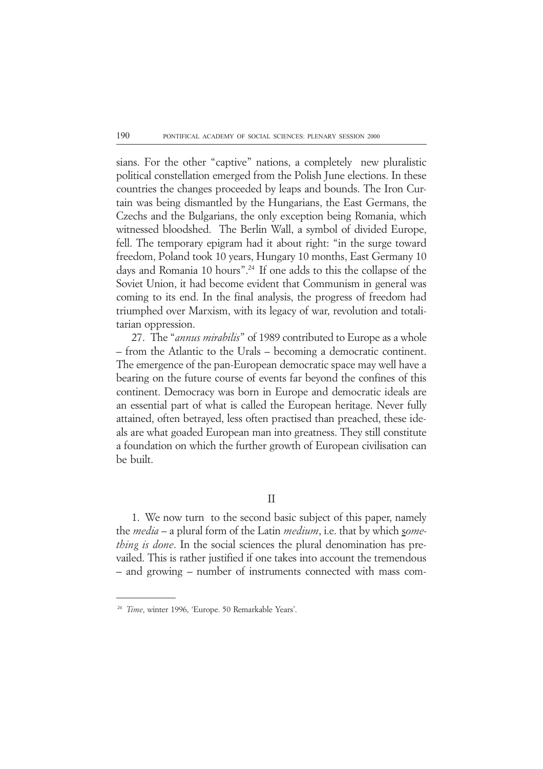sians. For the other "captive" nations, a completely new pluralistic political constellation emerged from the Polish June elections. In these countries the changes proceeded by leaps and bounds. The Iron Curtain was being dismantled by the Hungarians, the East Germans, the Czechs and the Bulgarians, the only exception being Romania, which witnessed bloodshed. The Berlin Wall, a symbol of divided Europe, fell. The temporary epigram had it about right: "in the surge toward freedom, Poland took 10 years, Hungary 10 months, East Germany 10 days and Romania 10 hours".24 If one adds to this the collapse of the Soviet Union, it had become evident that Communism in general was coming to its end. In the final analysis, the progress of freedom had triumphed over Marxism, with its legacy of war, revolution and totalitarian oppression.

27. The "*annus mirabilis*" of 1989 contributed to Europe as a whole – from the Atlantic to the Urals – becoming a democratic continent. The emergence of the pan-European democratic space may well have a bearing on the future course of events far beyond the confines of this continent. Democracy was born in Europe and democratic ideals are an essential part of what is called the European heritage. Never fully attained, often betrayed, less often practised than preached, these ideals are what goaded European man into greatness. They still constitute a foundation on which the further growth of European civilisation can be built.

II

1. We now turn to the second basic subject of this paper, namely the *media* – a plural form of the Latin *medium*, i.e. that by which s*omething is done*. In the social sciences the plural denomination has prevailed. This is rather justified if one takes into account the tremendous – and growing – number of instruments connected with mass com-

<sup>24</sup> *Time*, winter 1996, 'Europe. 50 Remarkable Years'.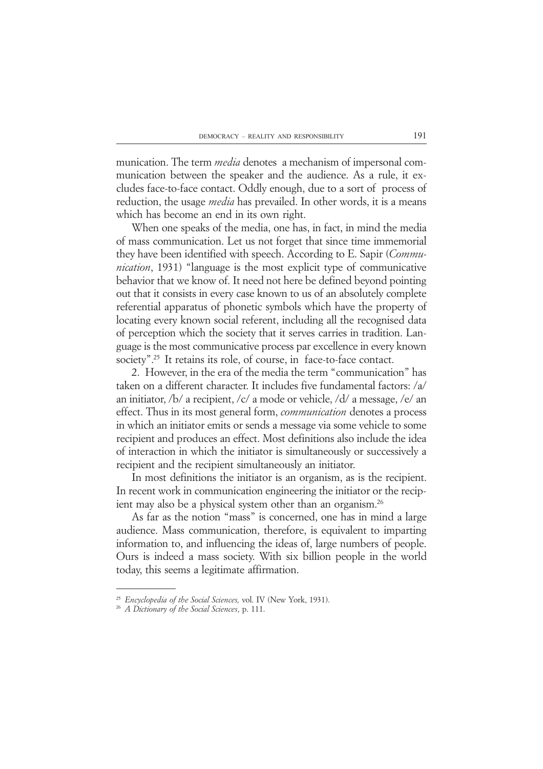munication. The term *media* denotes a mechanism of impersonal communication between the speaker and the audience. As a rule, it excludes face-to-face contact. Oddly enough, due to a sort of process of reduction, the usage *media* has prevailed. In other words, it is a means which has become an end in its own right.

When one speaks of the media, one has, in fact, in mind the media of mass communication. Let us not forget that since time immemorial they have been identified with speech. According to E. Sapir (*Communication*, 1931) "language is the most explicit type of communicative behavior that we know of. It need not here be defined beyond pointing out that it consists in every case known to us of an absolutely complete referential apparatus of phonetic symbols which have the property of locating every known social referent, including all the recognised data of perception which the society that it serves carries in tradition. Language is the most communicative process par excellence in every known society".<sup>25</sup> It retains its role, of course, in face-to-face contact.

2. However, in the era of the media the term "communication" has taken on a different character. It includes five fundamental factors: /a/ an initiator, /b/ a recipient, /c/ a mode or vehicle, /d/ a message, /e/ an effect. Thus in its most general form, *communication* denotes a process in which an initiator emits or sends a message via some vehicle to some recipient and produces an effect. Most definitions also include the idea of interaction in which the initiator is simultaneously or successively a recipient and the recipient simultaneously an initiator.

In most definitions the initiator is an organism, as is the recipient. In recent work in communication engineering the initiator or the recipient may also be a physical system other than an organism.26

As far as the notion "mass" is concerned, one has in mind a large audience. Mass communication, therefore, is equivalent to imparting information to, and influencing the ideas of, large numbers of people. Ours is indeed a mass society. With six billion people in the world today, this seems a legitimate affirmation.

<sup>25</sup> *Encyclopedia of the Social Sciences,* vol. IV (New York, 1931).

<sup>26</sup> *A Dictionary of the Social Sciences*, p. 111.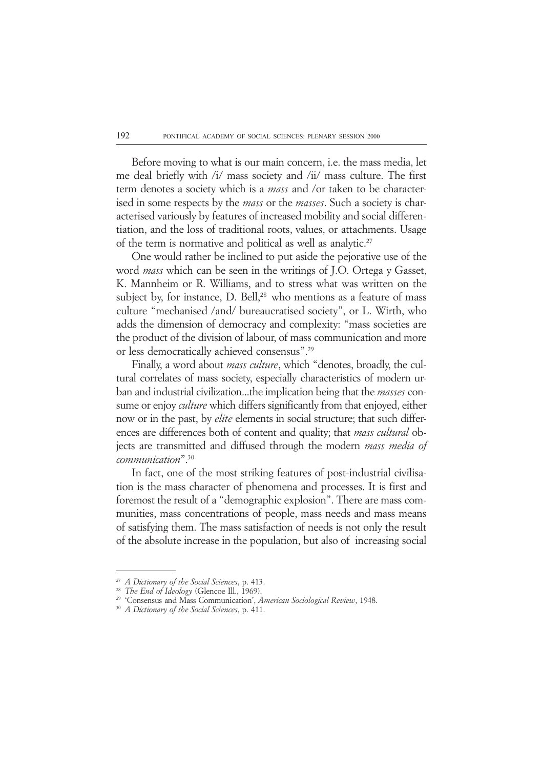Before moving to what is our main concern, i.e. the mass media, let me deal briefly with /i/ mass society and /ii/ mass culture. The first term denotes a society which is a *mass* and /or taken to be characterised in some respects by the *mass* or the *masses*. Such a society is characterised variously by features of increased mobility and social differentiation, and the loss of traditional roots, values, or attachments. Usage of the term is normative and political as well as analytic.<sup>27</sup>

One would rather be inclined to put aside the pejorative use of the word *mass* which can be seen in the writings of J.O. Ortega y Gasset, K. Mannheim or R. Williams, and to stress what was written on the subject by, for instance, D. Bell,<sup>28</sup> who mentions as a feature of mass culture "mechanised /and/ bureaucratised society", or L. Wirth, who adds the dimension of democracy and complexity: "mass societies are the product of the division of labour, of mass communication and more or less democratically achieved consensus".29

Finally, a word about *mass culture*, which "denotes, broadly, the cultural correlates of mass society, especially characteristics of modern urban and industrial civilization...the implication being that the *masses* consume or enjoy *culture* which differs significantly from that enjoyed, either now or in the past, by *elite* elements in social structure; that such differences are differences both of content and quality; that *mass cultural* objects are transmitted and diffused through the modern *mass media of communication*".30

In fact, one of the most striking features of post-industrial civilisation is the mass character of phenomena and processes. It is first and foremost the result of a "demographic explosion". There are mass communities, mass concentrations of people, mass needs and mass means of satisfying them. The mass satisfaction of needs is not only the result of the absolute increase in the population, but also of increasing social

<sup>27</sup> *A Dictionary of the Social Sciences*, p. 413.

The End of Ideology (Glencoe Ill., 1969).

<sup>29</sup> 'Consensus and Mass Communication', *American Sociological Review*, 1948.

<sup>30</sup> *A Dictionary of the Social Sciences*, p. 411.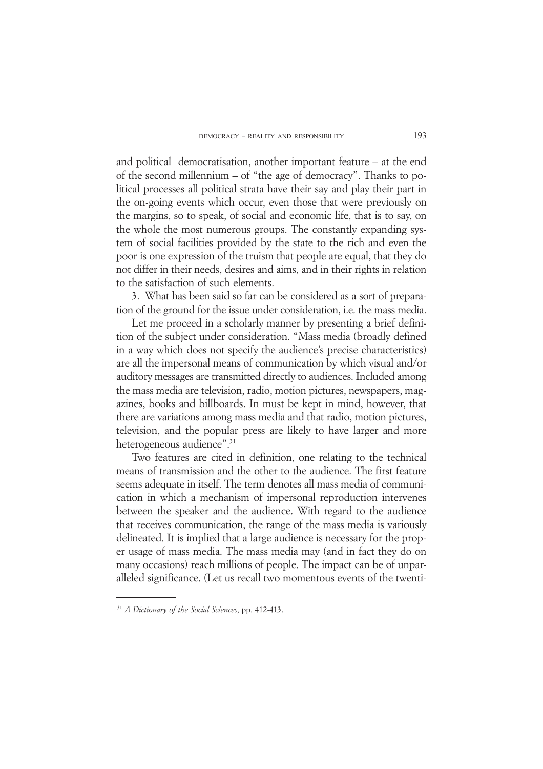and political democratisation, another important feature – at the end of the second millennium – of "the age of democracy". Thanks to political processes all political strata have their say and play their part in the on-going events which occur, even those that were previously on the margins, so to speak, of social and economic life, that is to say, on the whole the most numerous groups. The constantly expanding system of social facilities provided by the state to the rich and even the poor is one expression of the truism that people are equal, that they do not differ in their needs, desires and aims, and in their rights in relation to the satisfaction of such elements.

3. What has been said so far can be considered as a sort of preparation of the ground for the issue under consideration, i.e. the mass media.

Let me proceed in a scholarly manner by presenting a brief definition of the subject under consideration. "Mass media (broadly defined in a way which does not specify the audience's precise characteristics) are all the impersonal means of communication by which visual and/or auditory messages are transmitted directly to audiences. Included among the mass media are television, radio, motion pictures, newspapers, magazines, books and billboards. In must be kept in mind, however, that there are variations among mass media and that radio, motion pictures, television, and the popular press are likely to have larger and more heterogeneous audience".<sup>31</sup>

Two features are cited in definition, one relating to the technical means of transmission and the other to the audience. The first feature seems adequate in itself. The term denotes all mass media of communication in which a mechanism of impersonal reproduction intervenes between the speaker and the audience. With regard to the audience that receives communication, the range of the mass media is variously delineated. It is implied that a large audience is necessary for the proper usage of mass media. The mass media may (and in fact they do on many occasions) reach millions of people. The impact can be of unparalleled significance. (Let us recall two momentous events of the twenti-

<sup>31</sup> *A Dictionary of the Social Sciences*, pp. 412-413.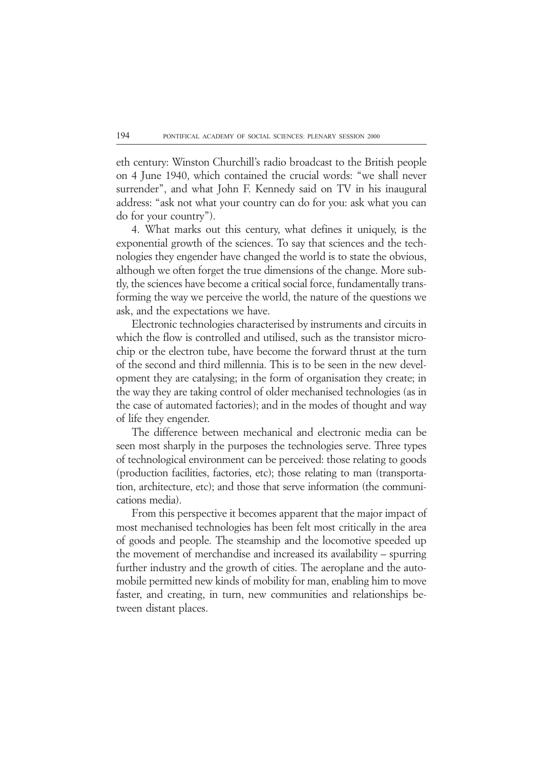eth century: Winston Churchill's radio broadcast to the British people on 4 June 1940, which contained the crucial words: "we shall never surrender", and what John F. Kennedy said on TV in his inaugural address: "ask not what your country can do for you: ask what you can do for your country").

4. What marks out this century, what defines it uniquely, is the exponential growth of the sciences. To say that sciences and the technologies they engender have changed the world is to state the obvious, although we often forget the true dimensions of the change. More subtly, the sciences have become a critical social force, fundamentally transforming the way we perceive the world, the nature of the questions we ask, and the expectations we have.

Electronic technologies characterised by instruments and circuits in which the flow is controlled and utilised, such as the transistor microchip or the electron tube, have become the forward thrust at the turn of the second and third millennia. This is to be seen in the new development they are catalysing; in the form of organisation they create; in the way they are taking control of older mechanised technologies (as in the case of automated factories); and in the modes of thought and way of life they engender.

The difference between mechanical and electronic media can be seen most sharply in the purposes the technologies serve. Three types of technological environment can be perceived: those relating to goods (production facilities, factories, etc); those relating to man (transportation, architecture, etc); and those that serve information (the communications media).

From this perspective it becomes apparent that the major impact of most mechanised technologies has been felt most critically in the area of goods and people. The steamship and the locomotive speeded up the movement of merchandise and increased its availability – spurring further industry and the growth of cities. The aeroplane and the automobile permitted new kinds of mobility for man, enabling him to move faster, and creating, in turn, new communities and relationships between distant places.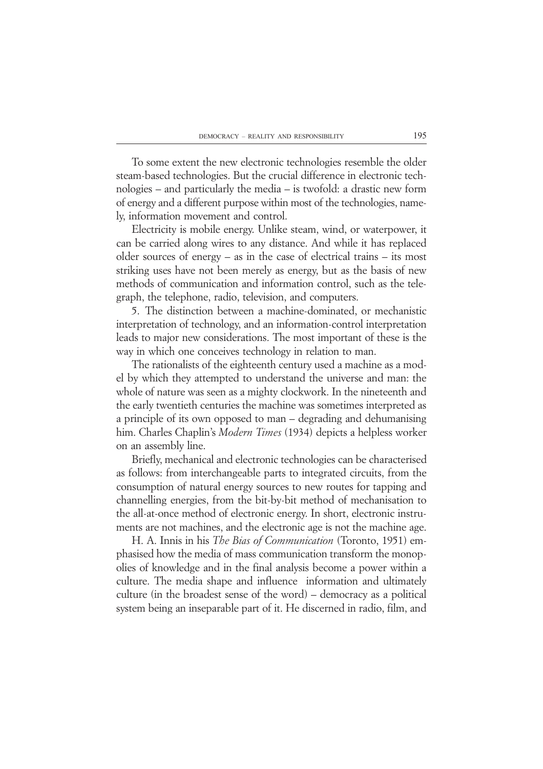To some extent the new electronic technologies resemble the older steam-based technologies. But the crucial difference in electronic technologies – and particularly the media – is twofold: a drastic new form of energy and a different purpose within most of the technologies, namely, information movement and control.

Electricity is mobile energy. Unlike steam, wind, or waterpower, it can be carried along wires to any distance. And while it has replaced older sources of energy – as in the case of electrical trains – its most striking uses have not been merely as energy, but as the basis of new methods of communication and information control, such as the telegraph, the telephone, radio, television, and computers.

5. The distinction between a machine-dominated, or mechanistic interpretation of technology, and an information-control interpretation leads to major new considerations. The most important of these is the way in which one conceives technology in relation to man.

The rationalists of the eighteenth century used a machine as a model by which they attempted to understand the universe and man: the whole of nature was seen as a mighty clockwork. In the nineteenth and the early twentieth centuries the machine was sometimes interpreted as a principle of its own opposed to man – degrading and dehumanising him. Charles Chaplin's *Modern Times* (1934) depicts a helpless worker on an assembly line.

Briefly, mechanical and electronic technologies can be characterised as follows: from interchangeable parts to integrated circuits, from the consumption of natural energy sources to new routes for tapping and channelling energies, from the bit-by-bit method of mechanisation to the all-at-once method of electronic energy. In short, electronic instruments are not machines, and the electronic age is not the machine age.

H. A. Innis in his *The Bias of Communication* (Toronto, 1951) emphasised how the media of mass communication transform the monopolies of knowledge and in the final analysis become a power within a culture. The media shape and influence information and ultimately culture (in the broadest sense of the word) – democracy as a political system being an inseparable part of it. He discerned in radio, film, and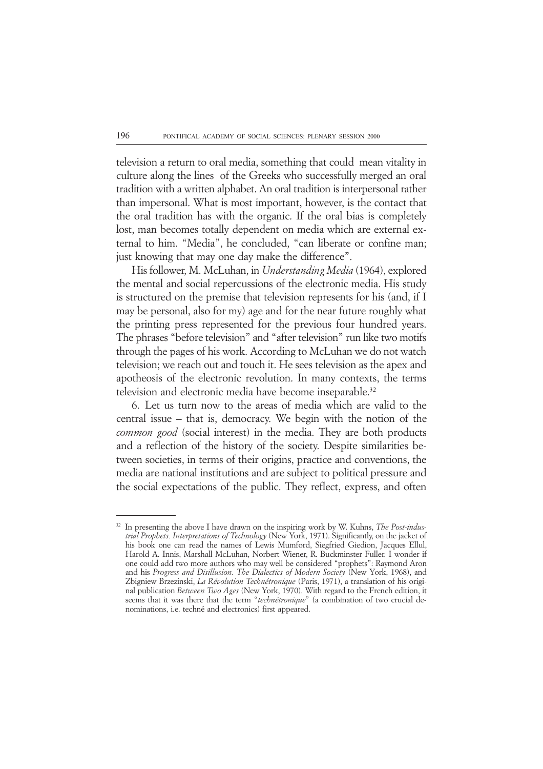television a return to oral media, something that could mean vitality in culture along the lines of the Greeks who successfully merged an oral tradition with a written alphabet. An oral tradition is interpersonal rather than impersonal. What is most important, however, is the contact that the oral tradition has with the organic. If the oral bias is completely lost, man becomes totally dependent on media which are external external to him. "Media", he concluded, "can liberate or confine man; just knowing that may one day make the difference".

His follower, M. McLuhan, in *Understanding Media* (1964), explored the mental and social repercussions of the electronic media. His study is structured on the premise that television represents for his (and, if I may be personal, also for my) age and for the near future roughly what the printing press represented for the previous four hundred years. The phrases "before television" and "after television" run like two motifs through the pages of his work. According to McLuhan we do not watch television; we reach out and touch it. He sees television as the apex and apotheosis of the electronic revolution. In many contexts, the terms television and electronic media have become inseparable.<sup>32</sup>

6. Let us turn now to the areas of media which are valid to the central issue – that is, democracy. We begin with the notion of the *common good* (social interest) in the media. They are both products and a reflection of the history of the society. Despite similarities between societies, in terms of their origins, practice and conventions, the media are national institutions and are subject to political pressure and the social expectations of the public. They reflect, express, and often

<sup>32</sup> In presenting the above I have drawn on the inspiring work by W. Kuhns, *The Post-industrial Prophets. Interpretations of Technology* (New York, 1971). Significantly, on the jacket of his book one can read the names of Lewis Mumford, Siegfried Giedion, Jacques Ellul, Harold A. Innis, Marshall McLuhan, Norbert Wiener, R. Buckminster Fuller. I wonder if one could add two more authors who may well be considered "prophets": Raymond Aron and his *Progress and Disillusion. The Dialectics of Modern Society* (New York, 1968), and Zbigniew Brzezinski, *La Révolution Technétronique* (Paris, 1971), a translation of his original publication *Between Two Ages* (New York, 1970). With regard to the French edition, it seems that it was there that the term "*technétronique*" (a combination of two crucial denominations, i.e. techné and electronics) first appeared.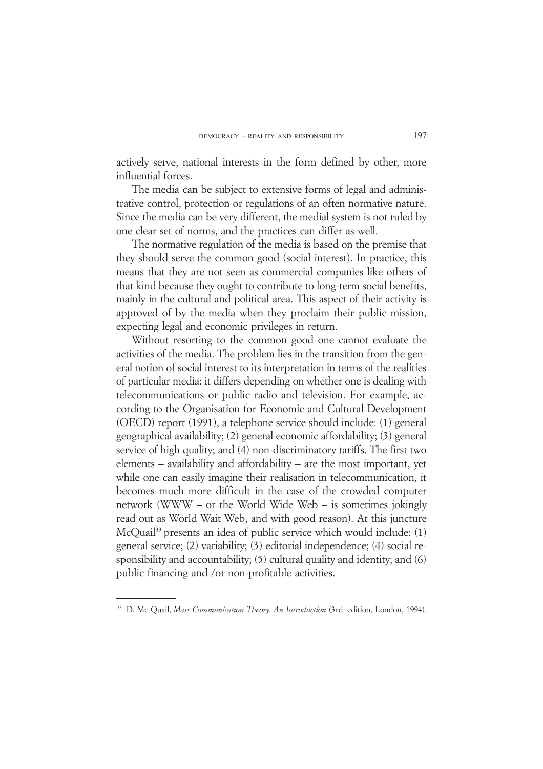actively serve, national interests in the form defined by other, more influential forces.

The media can be subject to extensive forms of legal and administrative control, protection or regulations of an often normative nature. Since the media can be very different, the medial system is not ruled by one clear set of norms, and the practices can differ as well.

The normative regulation of the media is based on the premise that they should serve the common good (social interest). In practice, this means that they are not seen as commercial companies like others of that kind because they ought to contribute to long-term social benefits, mainly in the cultural and political area. This aspect of their activity is approved of by the media when they proclaim their public mission, expecting legal and economic privileges in return.

Without resorting to the common good one cannot evaluate the activities of the media. The problem lies in the transition from the general notion of social interest to its interpretation in terms of the realities of particular media: it differs depending on whether one is dealing with telecommunications or public radio and television. For example, according to the Organisation for Economic and Cultural Development (OECD) report (1991), a telephone service should include: (1) general geographical availability; (2) general economic affordability; (3) general service of high quality; and (4) non-discriminatory tariffs. The first two elements – availability and affordability – are the most important, yet while one can easily imagine their realisation in telecommunication, it becomes much more difficult in the case of the crowded computer network (WWW – or the World Wide Web – is sometimes jokingly read out as World Wait Web, and with good reason). At this juncture McQuail<sup>33</sup> presents an idea of public service which would include: (1) general service; (2) variability; (3) editorial independence; (4) social responsibility and accountability; (5) cultural quality and identity; and (6) public financing and /or non-profitable activities.

<sup>33</sup> D. Mc Quail, *Mass Communication Theory. An Introduction* (3rd. edition, London, 1994).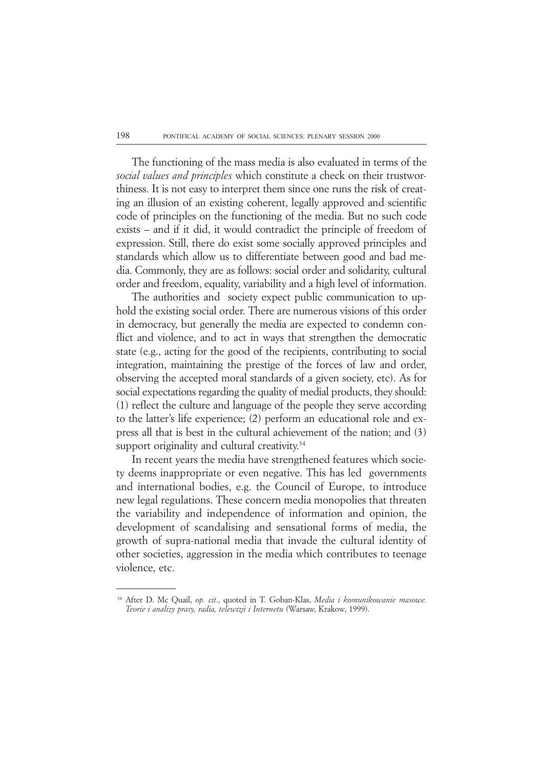The functioning of the mass media is also evaluated in terms of the *social values and principles* which constitute a check on their trustworthiness. It is not easy to interpret them since one runs the risk of creating an illusion of an existing coherent, legally approved and scientific code of principles on the functioning of the media. But no such code exists – and if it did, it would contradict the principle of freedom of expression. Still, there do exist some socially approved principles and standards which allow us to differentiate between good and bad media. Commonly, they are as follows: social order and solidarity, cultural order and freedom, equality, variability and a high level of information.

The authorities and society expect public communication to uphold the existing social order. There are numerous visions of this order in democracy, but generally the media are expected to condemn conflict and violence, and to act in ways that strengthen the democratic state (e.g., acting for the good of the recipients, contributing to social integration, maintaining the prestige of the forces of law and order, observing the accepted moral standards of a given society, etc). As for social expectations regarding the quality of medial products, they should: (1) reflect the culture and language of the people they serve according to the latter's life experience; (2) perform an educational role and express all that is best in the cultural achievement of the nation; and (3) support originality and cultural creativity.<sup>34</sup>

In recent years the media have strengthened features which society deems inappropriate or even negative. This has led governments and international bodies, e.g. the Council of Europe, to introduce new legal regulations. These concern media monopolies that threaten the variability and independence of information and opinion, the development of scandalising and sensational forms of media, the growth of supra-national media that invade the cultural identity of other societies, aggression in the media which contributes to teenage violence, etc.

<sup>34</sup> After D. Mc Quail, *op. cit.*, quoted in T. Goban-Klas, *Media i komunikowanie masowe. Teorie i analizy prasy, radia, telewizji i Internetu* (Warsaw, Krakow, 1999).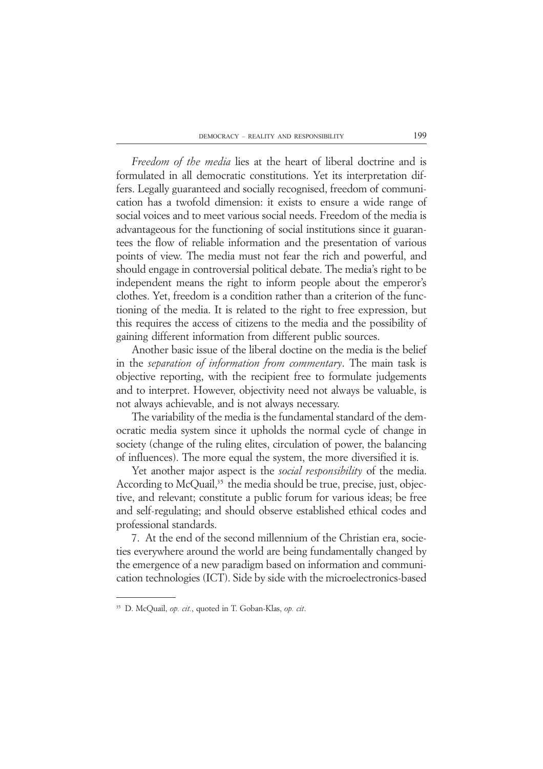*Freedom of the media* lies at the heart of liberal doctrine and is formulated in all democratic constitutions. Yet its interpretation differs. Legally guaranteed and socially recognised, freedom of communication has a twofold dimension: it exists to ensure a wide range of social voices and to meet various social needs. Freedom of the media is advantageous for the functioning of social institutions since it guarantees the flow of reliable information and the presentation of various points of view. The media must not fear the rich and powerful, and should engage in controversial political debate. The media's right to be independent means the right to inform people about the emperor's clothes. Yet, freedom is a condition rather than a criterion of the functioning of the media. It is related to the right to free expression, but this requires the access of citizens to the media and the possibility of gaining different information from different public sources.

Another basic issue of the liberal doctine on the media is the belief in the *separation of information from commentary*. The main task is objective reporting, with the recipient free to formulate judgements and to interpret. However, objectivity need not always be valuable, is not always achievable, and is not always necessary.

The variability of the media is the fundamental standard of the democratic media system since it upholds the normal cycle of change in society (change of the ruling elites, circulation of power, the balancing of influences). The more equal the system, the more diversified it is.

Yet another major aspect is the *social responsibility* of the media. According to McQuail,<sup>35</sup> the media should be true, precise, just, objective, and relevant; constitute a public forum for various ideas; be free and self-regulating; and should observe established ethical codes and professional standards.

7. At the end of the second millennium of the Christian era, societies everywhere around the world are being fundamentally changed by the emergence of a new paradigm based on information and communication technologies (ICT). Side by side with the microelectronics-based

<sup>35</sup> D. McQuail, *op. cit.*, quoted in T. Goban-Klas, *op. cit*.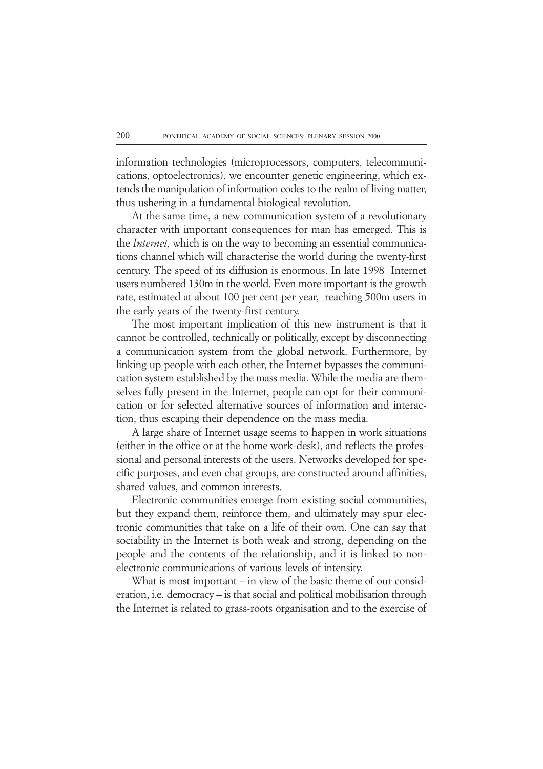information technologies (microprocessors, computers, telecommunications, optoelectronics), we encounter genetic engineering, which extends the manipulation of information codes to the realm of living matter, thus ushering in a fundamental biological revolution.

At the same time, a new communication system of a revolutionary character with important consequences for man has emerged. This is the *Internet,* which is on the way to becoming an essential communications channel which will characterise the world during the twenty-first century. The speed of its diffusion is enormous. In late 1998 Internet users numbered 130m in the world. Even more important is the growth rate, estimated at about 100 per cent per year, reaching 500m users in the early years of the twenty-first century.

The most important implication of this new instrument is that it cannot be controlled, technically or politically, except by disconnecting a communication system from the global network. Furthermore, by linking up people with each other, the Internet bypasses the communication system established by the mass media. While the media are themselves fully present in the Internet, people can opt for their communication or for selected alternative sources of information and interaction, thus escaping their dependence on the mass media.

A large share of Internet usage seems to happen in work situations (either in the office or at the home work-desk), and reflects the professional and personal interests of the users. Networks developed for specific purposes, and even chat groups, are constructed around affinities, shared values, and common interests.

Electronic communities emerge from existing social communities, but they expand them, reinforce them, and ultimately may spur electronic communities that take on a life of their own. One can say that sociability in the Internet is both weak and strong, depending on the people and the contents of the relationship, and it is linked to nonelectronic communications of various levels of intensity.

What is most important – in view of the basic theme of our consideration, i.e. democracy – is that social and political mobilisation through the Internet is related to grass-roots organisation and to the exercise of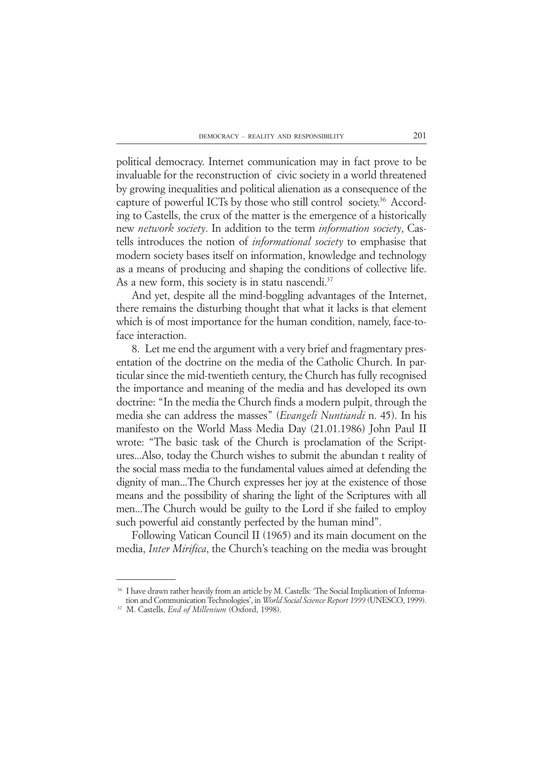political democracy. Internet communication may in fact prove to be invaluable for the reconstruction of civic society in a world threatened by growing inequalities and political alienation as a consequence of the capture of powerful ICTs by those who still control society.<sup>36</sup> According to Castells, the crux of the matter is the emergence of a historically new *network society*. In addition to the term *information society*, Castells introduces the notion of *informational society* to emphasise that modern society bases itself on information, knowledge and technology as a means of producing and shaping the conditions of collective life. As a new form, this society is in statu nascendi.<sup>37</sup>

And yet, despite all the mind-boggling advantages of the Internet, there remains the disturbing thought that what it lacks is that element which is of most importance for the human condition, namely, face-toface interaction.

8. Let me end the argument with a very brief and fragmentary presentation of the doctrine on the media of the Catholic Church. In particular since the mid-twentieth century, the Church has fully recognised the importance and meaning of the media and has developed its own doctrine: "In the media the Church finds a modern pulpit, through the media she can address the masses" (*Evangeli Nuntiandi* n. 45). In his manifesto on the World Mass Media Day (21.01.1986) John Paul II wrote: "The basic task of the Church is proclamation of the Scriptures...Also, today the Church wishes to submit the abundan t reality of the social mass media to the fundamental values aimed at defending the dignity of man...The Church expresses her joy at the existence of those means and the possibility of sharing the light of the Scriptures with all men...The Church would be guilty to the Lord if she failed to employ such powerful aid constantly perfected by the human mind".

Following Vatican Council II (1965) and its main document on the media, *Inter Mirifica*, the Church's teaching on the media was brought

<sup>&</sup>lt;sup>36</sup> I have drawn rather heavily from an article by M. Castells: 'The Social Implication of Information and Communication Technologies', in *World Social Science Report 1999* (UNESCO, 1999).

<sup>37</sup> M. Castells, *End of Millenium* (Oxford, 1998).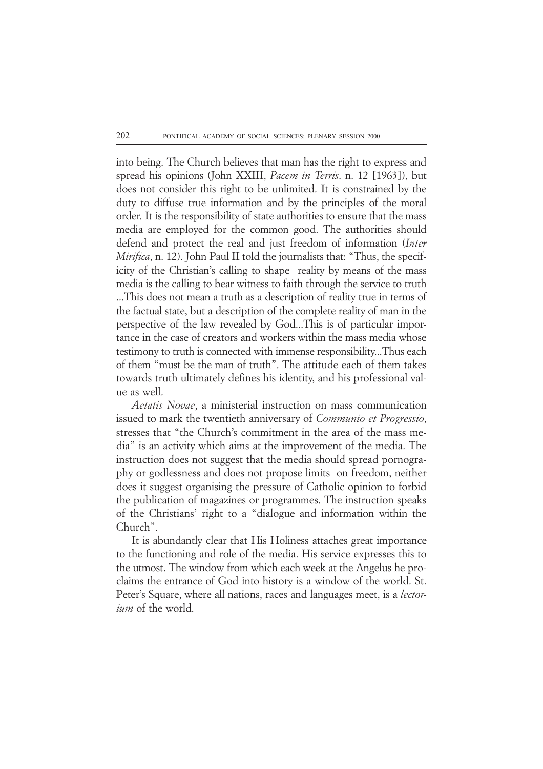into being. The Church believes that man has the right to express and spread his opinions (John XXIII, *Pacem in Terris*. n. 12 [1963]), but does not consider this right to be unlimited. It is constrained by the duty to diffuse true information and by the principles of the moral order. It is the responsibility of state authorities to ensure that the mass media are employed for the common good. The authorities should defend and protect the real and just freedom of information (*Inter Mirifica*, n. 12). John Paul II told the journalists that: "Thus, the specificity of the Christian's calling to shape reality by means of the mass media is the calling to bear witness to faith through the service to truth ...This does not mean a truth as a description of reality true in terms of the factual state, but a description of the complete reality of man in the perspective of the law revealed by God...This is of particular importance in the case of creators and workers within the mass media whose testimony to truth is connected with immense responsibility...Thus each of them "must be the man of truth". The attitude each of them takes towards truth ultimately defines his identity, and his professional value as well.

*Aetatis Novae*, a ministerial instruction on mass communication issued to mark the twentieth anniversary of *Communio et Progressio*, stresses that "the Church's commitment in the area of the mass media" is an activity which aims at the improvement of the media. The instruction does not suggest that the media should spread pornography or godlessness and does not propose limits on freedom, neither does it suggest organising the pressure of Catholic opinion to forbid the publication of magazines or programmes. The instruction speaks of the Christians' right to a "dialogue and information within the Church".

It is abundantly clear that His Holiness attaches great importance to the functioning and role of the media. His service expresses this to the utmost. The window from which each week at the Angelus he proclaims the entrance of God into history is a window of the world. St. Peter's Square, where all nations, races and languages meet, is a *lectorium* of the world.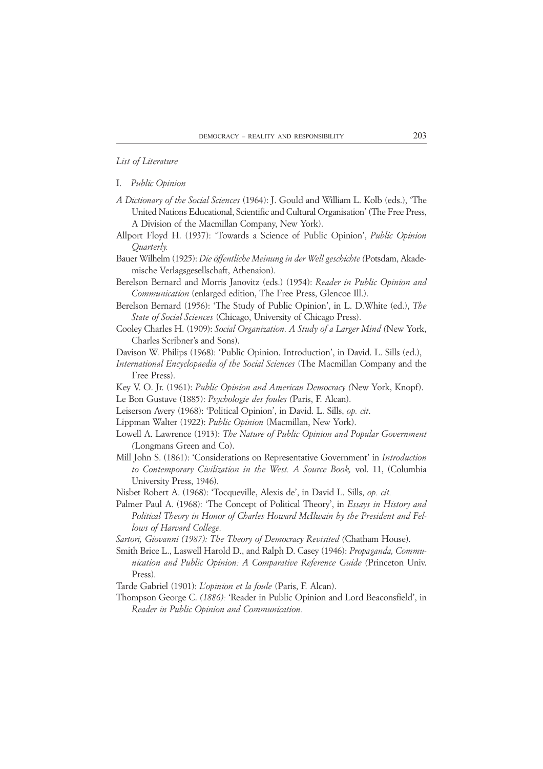#### *List of Literature*

#### I. *Public Opinion*

- *A Dictionary of the Social Sciences* (1964): J. Gould and William L. Kolb (eds.), 'The United Nations Educational, Scientific and Cultural Organisation' (The Free Press, A Division of the Macmillan Company, New York).
- Allport Floyd H. (1937): 'Towards a Science of Public Opinion', *Public Opinion Quarterly.*
- Bauer Wilhelm (1925): *Die öffentliche Meinung in der Well geschichte (*Potsdam, Akademische Verlagsgesellschaft, Athenaion).
- Berelson Bernard and Morris Janovitz (eds.) (1954): *Reader in Public Opinion and Communication* (enlarged edition, The Free Press, Glencoe Ill.).
- Berelson Bernard (1956): 'The Study of Public Opinion', in L. D.White (ed.), *The State of Social Sciences* (Chicago, University of Chicago Press).
- Cooley Charles H. (1909): *Social Organization. A Study of a Larger Mind (*New York, Charles Scribner's and Sons).
- Davison W. Philips (1968): 'Public Opinion. Introduction', in David. L. Sills (ed.),
- *International Encyclopaedia of the Social Sciences* (The Macmillan Company and the Free Press).
- Key V. O. Jr. (1961): *Public Opinion and American Democracy (*New York, Knopf). Le Bon Gustave (1885): *Psychologie des foules (*Paris, F. Alcan).
- Leiserson Avery (1968): 'Political Opinion', in David. L. Sills, *op. cit*.
- Lippman Walter (1922): *Public Opinion* (Macmillan, New York).
- Lowell A. Lawrence (1913): *The Nature of Public Opinion and Popular Government (*Longmans Green and Co).
- Mill John S. (1861): 'Considerations on Representative Government' in *Introduction to Contemporary Civilization in the West. A Source Book,* vol. 11, (Columbia University Press, 1946).
- Nisbet Robert A. (1968): 'Tocqueville, Alexis de', in David L. Sills, *op. cit.*
- Palmer Paul A. (1968): 'The Concept of Political Theory', in *Essays in History and Political Theory in Honor of Charles Howard McIlwain by the President and Fellows of Harvard College.*
- *Sartori, Giovanni (1987): The Theory of Democracy Revisited (*Chatham House).
- Smith Brice L., Laswell Harold D., and Ralph D. Casey (1946): *Propaganda, Communication and Public Opinion: A Comparative Reference Guide (*Princeton Univ. Press).
- Tarde Gabriel (1901): *L'opinion et la foule* (Paris, F. Alcan).
- Thompson George C. *(1886):* 'Reader in Public Opinion and Lord Beaconsfield', in *Reader in Public Opinion and Communication.*